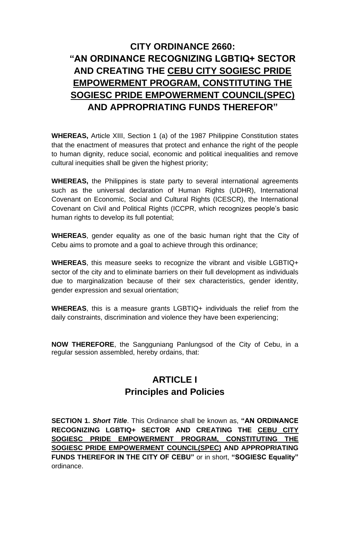# **CITY ORDINANCE 2660: "AN ORDINANCE RECOGNIZING LGBTIQ+ SECTOR AND CREATING THE CEBU CITY SOGIESC PRIDE EMPOWERMENT PROGRAM, CONSTITUTING THE SOGIESC PRIDE EMPOWERMENT COUNCIL(SPEC) AND APPROPRIATING FUNDS THEREFOR"**

**WHEREAS,** Article XIII, Section 1 (a) of the 1987 Philippine Constitution states that the enactment of measures that protect and enhance the right of the people to human dignity, reduce social, economic and political inequalities and remove cultural inequities shall be given the highest priority;

**WHEREAS,** the Philippines is state party to several international agreements such as the universal declaration of Human Rights (UDHR), International Covenant on Economic, Social and Cultural Rights (ICESCR), the International Covenant on Civil and Political Rights (ICCPR, which recognizes people's basic human rights to develop its full potential;

**WHEREAS**, gender equality as one of the basic human right that the City of Cebu aims to promote and a goal to achieve through this ordinance;

**WHEREAS**, this measure seeks to recognize the vibrant and visible LGBTIQ+ sector of the city and to eliminate barriers on their full development as individuals due to marginalization because of their sex characteristics, gender identity, gender expression and sexual orientation;

**WHEREAS**, this is a measure grants LGBTIQ+ individuals the relief from the daily constraints, discrimination and violence they have been experiencing;

**NOW THEREFORE**, the Sangguniang Panlungsod of the City of Cebu, in a regular session assembled, hereby ordains, that:

## **ARTICLE I Principles and Policies**

**SECTION 1.** *Short Title*. This Ordinance shall be known as, **"AN ORDINANCE RECOGNIZING LGBTIQ+ SECTOR AND CREATING THE CEBU CITY SOGIESC PRIDE EMPOWERMENT PROGRAM, CONSTITUTING THE SOGIESC PRIDE EMPOWERMENT COUNCIL(SPEC) AND APPROPRIATING FUNDS THEREFOR IN THE CITY OF CEBU"** or in short, **"SOGIESC Equality"** ordinance.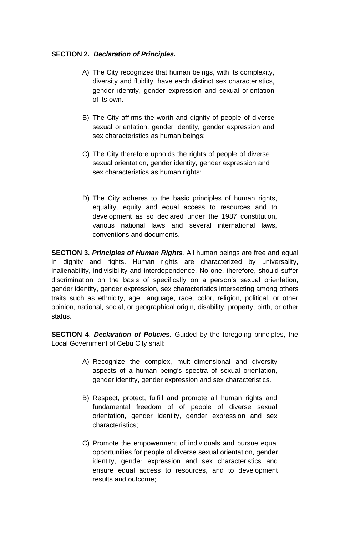#### **SECTION 2.** *Declaration of Principles.*

- A) The City recognizes that human beings, with its complexity, diversity and fluidity, have each distinct sex characteristics, gender identity, gender expression and sexual orientation of its own.
- B) The City affirms the worth and dignity of people of diverse sexual orientation, gender identity, gender expression and sex characteristics as human beings;
- C) The City therefore upholds the rights of people of diverse sexual orientation, gender identity, gender expression and sex characteristics as human rights;
- D) The City adheres to the basic principles of human rights, equality, equity and equal access to resources and to development as so declared under the 1987 constitution, various national laws and several international laws, conventions and documents.

**SECTION 3.** *Principles of Human Rights.* All human beings are free and equal in dignity and rights. Human rights are characterized by universality, inalienability, indivisibility and interdependence. No one, therefore, should suffer discrimination on the basis of specifically on a person's sexual orientation, gender identity, gender expression, sex characteristics intersecting among others traits such as ethnicity, age, language, race, color, religion, political, or other opinion, national, social, or geographical origin, disability, property, birth, or other status.

**SECTION 4**. *Declaration of Policies.* Guided by the foregoing principles, the Local Government of Cebu City shall:

- A) Recognize the complex, multi-dimensional and diversity aspects of a human being's spectra of sexual orientation, gender identity, gender expression and sex characteristics.
- B) Respect, protect, fulfill and promote all human rights and fundamental freedom of of people of diverse sexual orientation, gender identity, gender expression and sex characteristics;
- C) Promote the empowerment of individuals and pursue equal opportunities for people of diverse sexual orientation, gender identity, gender expression and sex characteristics and ensure equal access to resources, and to development results and outcome;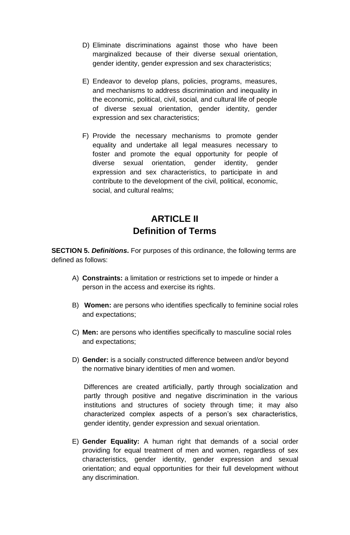- D) Eliminate discriminations against those who have been marginalized because of their diverse sexual orientation, gender identity, gender expression and sex characteristics;
- E) Endeavor to develop plans, policies, programs, measures, and mechanisms to address discrimination and inequality in the economic, political, civil, social, and cultural life of people of diverse sexual orientation, gender identity, gender expression and sex characteristics;
- F) Provide the necessary mechanisms to promote gender equality and undertake all legal measures necessary to foster and promote the equal opportunity for people of diverse sexual orientation, gender identity, gender expression and sex characteristics, to participate in and contribute to the development of the civil, political, economic, social, and cultural realms;

# **ARTICLE II Definition of Terms**

**SECTION 5.** *Definitions***.** For purposes of this ordinance, the following terms are defined as follows:

- A) **Constraints:** a limitation or restrictions set to impede or hinder a person in the access and exercise its rights.
- B) **Women:** are persons who identifies specfically to feminine social roles and expectations;
- C) **Men:** are persons who identifies specifically to masculine social roles and expectations;
- D) **Gender:** is a socially constructed difference between and/or beyond the normative binary identities of men and women.

Differences are created artificially, partly through socialization and partly through positive and negative discrimination in the various institutions and structures of society through time; it may also characterized complex aspects of a person's sex characteristics, gender identity, gender expression and sexual orientation.

E) **Gender Equality:** A human right that demands of a social order providing for equal treatment of men and women, regardless of sex characteristics, gender identity, gender expression and sexual orientation; and equal opportunities for their full development without any discrimination.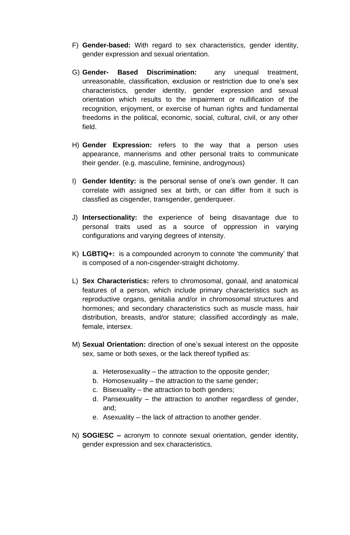- F) **Gender-based:** With regard to sex characteristics, gender identity, gender expression and sexual orientation.
- G) **Gender- Based Discrimination:** any unequal treatment, unreasonable, classification, exclusion or restriction due to one's sex characteristics, gender identity, gender expression and sexual orientation which results to the impairment or nullification of the recognition, enjoyment, or exercise of human rights and fundamental freedoms in the political, economic, social, cultural, civil, or any other field.
- H) **Gender Expression:** refers to the way that a person uses appearance, mannerisms and other personal traits to communicate their gender. (e.g. masculine, feminine, androgynous)
- I) **Gender Identity:** is the personal sense of one's own gender. It can correlate with assigned sex at birth, or can differ from it such is classfied as cisgender, transgender, genderqueer.
- J) **Intersectionality:** the experience of being disavantage due to personal traits used as a source of oppression in varying configurations and varying degrees of intensity.
- K) **LGBTIQ+:** is a compounded acronym to connote 'the community' that is composed of a non-cisgender-straight dichotomy.
- L) **Sex Characteristics:** refers to chromosomal, gonaal, and anatomical features of a person, which include primary characteristics such as reproductive organs, genitalia and/or in chromosomal structures and hormones; and secondary characteristics such as muscle mass, hair distribution, breasts, and/or stature; classified accordingly as male, female, intersex.
- M) **Sexual Orientation:** direction of one's sexual interest on the opposite sex, same or both sexes, or the lack thereof typified as:
	- a. Heterosexuality the attraction to the opposite gender;
	- b. Homosexuality the attraction to the same gender;
	- c. Bisexuality the attraction to both genders;
	- d. Pansexuality the attraction to another regardless of gender, and;
	- e. Asexuality the lack of attraction to another gender.
- N) **SOGIESC –** acronym to connote sexual orientation, gender identity, gender expression and sex characteristics.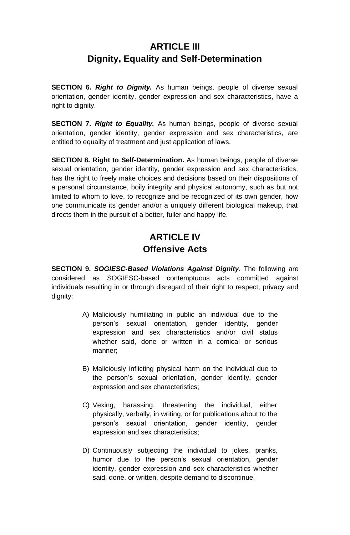## **ARTICLE III Dignity, Equality and Self-Determination**

**SECTION 6.** *Right to Dignity.* As human beings, people of diverse sexual orientation, gender identity, gender expression and sex characteristics, have a right to dignity.

**SECTION 7. Right to Equality.** As human beings, people of diverse sexual orientation, gender identity, gender expression and sex characteristics, are entitled to equality of treatment and just application of laws.

**SECTION 8. Right to Self-Determination.** As human beings, people of diverse sexual orientation, gender identity, gender expression and sex characteristics, has the right to freely make choices and decisions based on their dispositions of a personal circumstance, boily integrity and physical autonomy, such as but not limited to whom to love, to recognize and be recognized of its own gender, how one communicate its gender and/or a uniquely different biological makeup, that directs them in the pursuit of a better, fuller and happy life.

# **ARTICLE IV Offensive Acts**

**SECTION 9.** *SOGIESC-Based Violations Against Dignity*. The following are considered as SOGIESC-based contemptuous acts committed against individuals resulting in or through disregard of their right to respect, privacy and dignity:

- A) Maliciously humiliating in public an individual due to the person's sexual orientation, gender identity, gender expression and sex characteristics and/or civil status whether said, done or written in a comical or serious manner;
- B) Maliciously inflicting physical harm on the individual due to the person's sexual orientation, gender identity, gender expression and sex characteristics;
- C) Vexing, harassing, threatening the individual, either physically, verbally, in writing, or for publications about to the person's sexual orientation, gender identity, gender expression and sex characteristics;
- D) Continuously subjecting the individual to jokes, pranks, humor due to the person's sexual orientation, gender identity, gender expression and sex characteristics whether said, done, or written, despite demand to discontinue.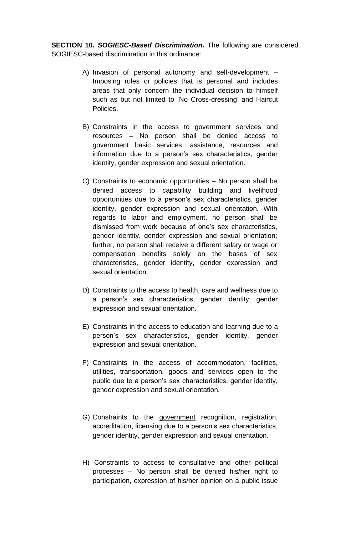**SECTION 10.** *SOGIESC-Based Discrimination***.** The following are considered SOGIESC-based discrimination in this ordinance:

- A) Invasion of personal autonomy and self-development Imposing rules or policies that is personal and includes areas that only concern the individual decision to himself such as but not limited to 'No Cross-dressing' and Haircut Policies.
- B) Constraints in the access to government services and resources – No person shall be denied access to government basic services, assistance, resources and information due to a person's sex characteristics, gender identity, gender expression and sexual orientation.
- C) Constraints to economic opportunities No person shall be denied access to capability building and livelihood opportunities due to a person's sex characteristics, gender identity, gender expression and sexual orientation. With regards to labor and employment, no person shall be dismissed from work because of one's sex characteristics, gender identity, gender expression and sexual orientation; further, no person shall receive a different salary or wage or compensation benefits solely on the bases of sex characteristics, gender identity, gender expression and sexual orientation.
- D) Constraints to the access to health, care and wellness due to a person's sex characteristics, gender identity, gender expression and sexual orientation.
- E) Constraints in the access to education and learning due to a person's sex characteristics, gender identity, gender expression and sexual orientation.
- F) Constraints in the access of accommodaton, facilities, utilities, transportation, goods and services open to the public due to a person's sex characteristics, gender identity, gender expression and sexual orientation.
- G) Constraints to the government recognition, registration, accreditation, licensing due to a person's sex characteristics, gender identity, gender expression and sexual orientation.
- H) Constraints to access to consultative and other political processes – No person shall be denied his/her right to participation, expression of his/her opinion on a public issue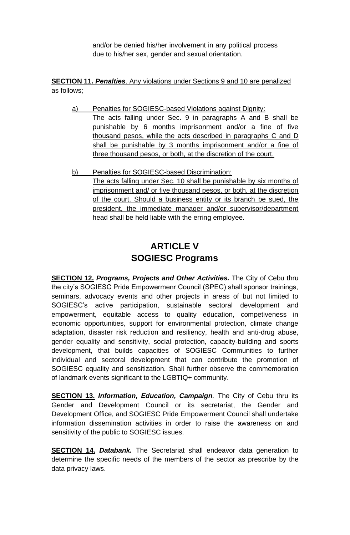and/or be denied his/her involvement in any political process due to his/her sex, gender and sexual orientation.

**SECTION 11.** *Penalties*. Any violations under Sections 9 and 10 are penalized as follows;

- a) Penalties for SOGIESC-based Violations against Dignity: The acts falling under Sec. 9 in paragraphs A and B shall be punishable by 6 months imprisonment and/or a fine of five thousand pesos, while the acts described in paragraphs C and D shall be punishable by 3 months imprisonment and/or a fine of three thousand pesos, or both, at the discretion of the court.
- b) Penalties for SOGIESC-based Discrimination: The acts falling under Sec. 10 shall be punishable by six months of imprisonment and/ or five thousand pesos, or both, at the discretion of the court. Should a business entity or its branch be sued, the president, the immediate manager and/or supervisor/department head shall be held liable with the erring employee.

### **ARTICLE V SOGIESC Programs**

**SECTION 12.** *Programs, Projects and Other Activities.* The City of Cebu thru the city's SOGIESC Pride Empowermenr Council (SPEC) shall sponsor trainings, seminars, advocacy events and other projects in areas of but not limited to SOGIESC's active participation, sustainable sectoral development and empowerment, equitable access to quality education, competiveness in economic opportunities, support for environmental protection, climate change adaptation, disaster risk reduction and resiliency, health and anti-drug abuse, gender equality and sensitivity, social protection, capacity-building and sports development, that builds capacities of SOGIESC Communities to further individual and sectoral development that can contribute the promotion of SOGIESC equality and sensitization. Shall further observe the commemoration of landmark events significant to the LGBTIQ+ community.

**SECTION 13.** *Information, Education, Campaign.* The City of Cebu thru its Gender and Development Council or its secretariat, the Gender and Development Office, and SOGIESC Pride Empowerment Council shall undertake information dissemination activities in order to raise the awareness on and sensitivity of the public to SOGIESC issues.

**SECTION 14.** *Databank.* The Secretariat shall endeavor data generation to determine the specific needs of the members of the sector as prescribe by the data privacy laws.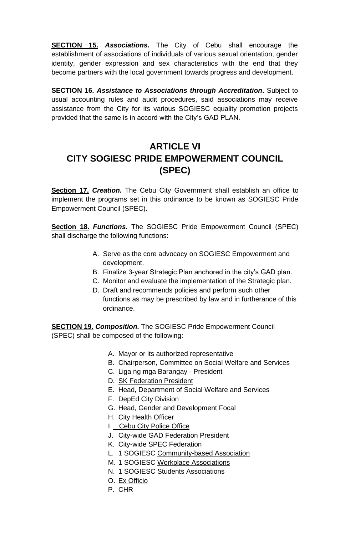**SECTION 15.** *Associations.* The City of Cebu shall encourage the establishment of associations of individuals of various sexual orientation, gender identity, gender expression and sex characteristics with the end that they become partners with the local government towards progress and development.

**SECTION 16.** *Assistance to Associations through Accreditation***.** Subject to usual accounting rules and audit procedures, said associations may receive assistance from the City for its various SOGIESC equality promotion projects provided that the same is in accord with the City's GAD PLAN.

# **ARTICLE VI CITY SOGIESC PRIDE EMPOWERMENT COUNCIL (SPEC)**

**Section 17.** *Creation.* The Cebu City Government shall establish an office to implement the programs set in this ordinance to be known as SOGIESC Pride Empowerment Council (SPEC).

**Section 18.** *Functions.* The SOGIESC Pride Empowerment Council (SPEC) shall discharge the following functions:

- A. Serve as the core advocacy on SOGIESC Empowerment and development.
- B. Finalize 3-year Strategic Plan anchored in the city's GAD plan.
- C. Monitor and evaluate the implementation of the Strategic plan.
- D. Draft and recommends policies and perform such other functions as may be prescribed by law and in furtherance of this ordinance.

**SECTION 19.** *Composition.* The SOGIESC Pride Empowerment Council (SPEC) shall be composed of the following:

- A. Mayor or its authorized representative
- B. Chairperson, Committee on Social Welfare and Services
- C. Liga ng mga Barangay President
- D. SK Federation President
- E. Head, Department of Social Welfare and Services
- F. DepEd City Division
- G. Head, Gender and Development Focal
- H. City Health Officer
- I. Cebu City Police Office
- J. City-wide GAD Federation President
- K. City-wide SPEC Federation
- L. 1 SOGIESC Community-based Association
- M. 1 SOGIESC Workplace Associations
- N. 1 SOGIESC Students Associations
- O. Ex Officio
- P. CHR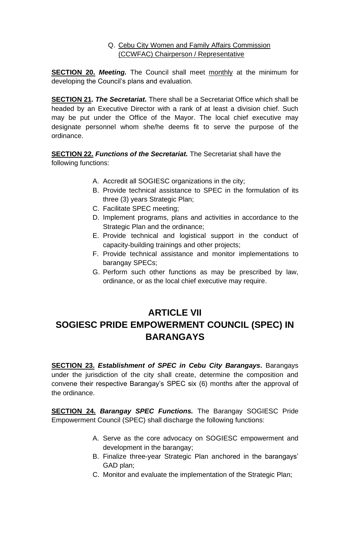### Q. Cebu City Women and Family Affairs Commission (CCWFAC) Chairperson / Representative

**SECTION 20.** *Meeting.* The Council shall meet monthly at the minimum for developing the Council's plans and evaluation.

**SECTION 21.** *The Secretariat.* There shall be a Secretariat Office which shall be headed by an Executive Director with a rank of at least a division chief. Such may be put under the Office of the Mayor. The local chief executive may designate personnel whom she/he deems fit to serve the purpose of the ordinance.

**SECTION 22.** *Functions of the Secretariat.* The Secretariat shall have the following functions:

- A. Accredit all SOGIESC organizations in the city;
- B. Provide technical assistance to SPEC in the formulation of its three (3) years Strategic Plan;
- C. Facilitate SPEC meeting;
- D. Implement programs, plans and activities in accordance to the Strategic Plan and the ordinance;
- E. Provide technical and logistical support in the conduct of capacity-building trainings and other projects;
- F. Provide technical assistance and monitor implementations to barangay SPECs;
- G. Perform such other functions as may be prescribed by law, ordinance, or as the local chief executive may require.

## **ARTICLE VII SOGIESC PRIDE EMPOWERMENT COUNCIL (SPEC) IN BARANGAYS**

**SECTION 23.** *Establishment of SPEC in Cebu City Barangays.* Barangays under the jurisdiction of the city shall create, determine the composition and convene their respective Barangay's SPEC six (6) months after the approval of the ordinance.

**SECTION 24.** *Barangay SPEC Functions.* The Barangay SOGIESC Pride Empowerment Council (SPEC) shall discharge the following functions:

- A. Serve as the core advocacy on SOGIESC empowerment and development in the barangay;
- B. Finalize three-year Strategic Plan anchored in the barangays' GAD plan;
- C. Monitor and evaluate the implementation of the Strategic Plan;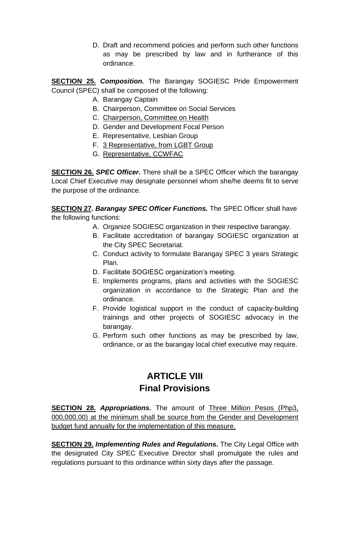D. Draft and recommend policies and perform such other functions as may be prescribed by law and in furtherance of this ordinance.

**SECTION 25.** *Composition.* The Barangay SOGIESC Pride Empowerment Council (SPEC) shall be composed of the following:

- A. Barangay Captain
- B. Chairperson, Committee on Social Services
- C. Chairperson, Committee on Health
- D. Gender and Development Focal Person
- E. Representative, Lesbian Group
- F. 3 Representative, from LGBT Group
- G. Representative, CCWFAC

**SECTION 26.** *SPEC Officer.* There shall be a SPEC Officer which the barangay Local Chief Executive may designate personnel whom she/he deems fit to serve the purpose of the ordinance.

**SECTION 27.** *Barangay SPEC Officer Functions.* The SPEC Officer shall have the following functions:

- A. Organize SOGIESC organization in their respective barangay.
- B. Facilitate accreditation of barangay SOGIESC organization at the City SPEC Secretariat.
- C. Conduct activity to formulate Barangay SPEC 3 years Strategic Plan.
- D. Facilitate SOGIESC organization's meeting.
- E. Implements programs, plans and activities with the SOGIESC organization in accordance to the Strategic Plan and the ordinance.
- F. Provide logistical support in the conduct of capacity-building trainings and other projects of SOGIESC advocacy in the barangay.
- G. Perform such other functions as may be prescribed by law, ordinance, or as the barangay local chief executive may require.

## **ARTICLE VIII Final Provisions**

**SECTION 28.** *Appropriations.* The amount of Three Million Pesos (Php3, 000,000.00) at the minimum shall be source from the Gender and Development budget fund annually for the implementation of this measure.

**SECTION 29. Implementing Rules and Regulations.** The City Legal Office with the designated City SPEC Executive Director shall promulgate the rules and regulations pursuant to this ordinance within sixty days after the passage.